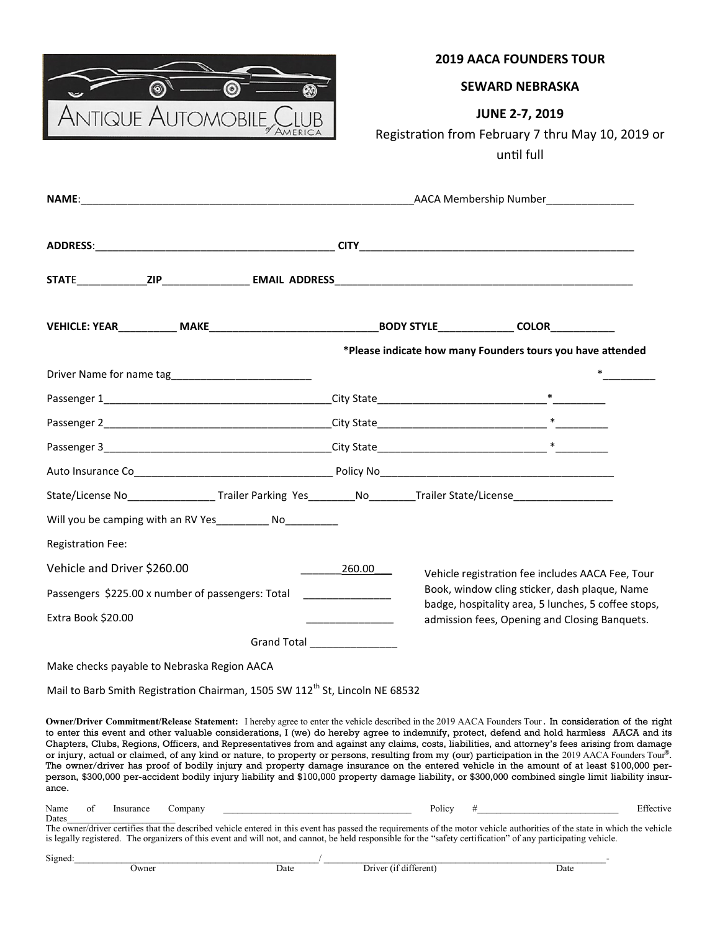

# **2019 AACA FOUNDERS TOUR**

### **SEWARD NEBRASKA**

# **JUNE 2-7, 2019**

# Registration from February 7 thru May 10, 2019 or until full

|                                                                  |                          |                                             |                                                                                          |                                                                                                                        | *Please indicate how many Founders tours you have attended                                                                                                     |  |                                                                                                                                                                                                                                                                                                                                                                                                                                                                                                                                                                                                                                                                                                                                                                                                                                                                                                                     |  |
|------------------------------------------------------------------|--------------------------|---------------------------------------------|------------------------------------------------------------------------------------------|------------------------------------------------------------------------------------------------------------------------|----------------------------------------------------------------------------------------------------------------------------------------------------------------|--|---------------------------------------------------------------------------------------------------------------------------------------------------------------------------------------------------------------------------------------------------------------------------------------------------------------------------------------------------------------------------------------------------------------------------------------------------------------------------------------------------------------------------------------------------------------------------------------------------------------------------------------------------------------------------------------------------------------------------------------------------------------------------------------------------------------------------------------------------------------------------------------------------------------------|--|
|                                                                  |                          |                                             |                                                                                          |                                                                                                                        |                                                                                                                                                                |  |                                                                                                                                                                                                                                                                                                                                                                                                                                                                                                                                                                                                                                                                                                                                                                                                                                                                                                                     |  |
|                                                                  |                          |                                             |                                                                                          |                                                                                                                        |                                                                                                                                                                |  |                                                                                                                                                                                                                                                                                                                                                                                                                                                                                                                                                                                                                                                                                                                                                                                                                                                                                                                     |  |
|                                                                  |                          |                                             |                                                                                          |                                                                                                                        |                                                                                                                                                                |  |                                                                                                                                                                                                                                                                                                                                                                                                                                                                                                                                                                                                                                                                                                                                                                                                                                                                                                                     |  |
|                                                                  |                          |                                             |                                                                                          |                                                                                                                        |                                                                                                                                                                |  |                                                                                                                                                                                                                                                                                                                                                                                                                                                                                                                                                                                                                                                                                                                                                                                                                                                                                                                     |  |
|                                                                  |                          |                                             |                                                                                          |                                                                                                                        |                                                                                                                                                                |  |                                                                                                                                                                                                                                                                                                                                                                                                                                                                                                                                                                                                                                                                                                                                                                                                                                                                                                                     |  |
|                                                                  |                          |                                             |                                                                                          |                                                                                                                        | State/License No_________________Trailer Parking Yes_________No________Trailer State/License_________________                                                  |  |                                                                                                                                                                                                                                                                                                                                                                                                                                                                                                                                                                                                                                                                                                                                                                                                                                                                                                                     |  |
|                                                                  |                          |                                             | Will you be camping with an RV Yes___________ No_________                                |                                                                                                                        |                                                                                                                                                                |  |                                                                                                                                                                                                                                                                                                                                                                                                                                                                                                                                                                                                                                                                                                                                                                                                                                                                                                                     |  |
|                                                                  | <b>Registration Fee:</b> |                                             |                                                                                          |                                                                                                                        |                                                                                                                                                                |  |                                                                                                                                                                                                                                                                                                                                                                                                                                                                                                                                                                                                                                                                                                                                                                                                                                                                                                                     |  |
| Vehicle and Driver \$260.00                                      |                          |                                             |                                                                                          | 260.00                                                                                                                 | Vehicle registration fee includes AACA Fee, Tour                                                                                                               |  |                                                                                                                                                                                                                                                                                                                                                                                                                                                                                                                                                                                                                                                                                                                                                                                                                                                                                                                     |  |
| Passengers \$225.00 x number of passengers: Total ______________ |                          |                                             |                                                                                          |                                                                                                                        | Book, window cling sticker, dash plaque, Name<br>badge, hospitality area, 5 lunches, 5 coffee stops,<br>admission fees, Opening and Closing Banquets.          |  |                                                                                                                                                                                                                                                                                                                                                                                                                                                                                                                                                                                                                                                                                                                                                                                                                                                                                                                     |  |
| Extra Book \$20.00                                               |                          |                                             |                                                                                          | <u> 1990 - Jan Barbara Barbara, mandat a shekara 1991 - An tsa a tsara 1991 - An tsa a tsa a tsa a tsa a tsa a tsa</u> |                                                                                                                                                                |  |                                                                                                                                                                                                                                                                                                                                                                                                                                                                                                                                                                                                                                                                                                                                                                                                                                                                                                                     |  |
|                                                                  |                          |                                             | Grand Total _________________                                                            |                                                                                                                        |                                                                                                                                                                |  |                                                                                                                                                                                                                                                                                                                                                                                                                                                                                                                                                                                                                                                                                                                                                                                                                                                                                                                     |  |
|                                                                  |                          | Make checks payable to Nebraska Region AACA |                                                                                          |                                                                                                                        |                                                                                                                                                                |  |                                                                                                                                                                                                                                                                                                                                                                                                                                                                                                                                                                                                                                                                                                                                                                                                                                                                                                                     |  |
|                                                                  |                          |                                             | Mail to Barb Smith Registration Chairman, 1505 SW 112 <sup>th</sup> St, Lincoln NE 68532 |                                                                                                                        |                                                                                                                                                                |  |                                                                                                                                                                                                                                                                                                                                                                                                                                                                                                                                                                                                                                                                                                                                                                                                                                                                                                                     |  |
| ance.                                                            |                          |                                             |                                                                                          |                                                                                                                        |                                                                                                                                                                |  | Owner/Driver Commitment/Release Statement: I hereby agree to enter the vehicle described in the 2019 AACA Founders Tour. In consideration of the right<br>to enter this event and other valuable considerations, I (we) do hereby agree to indemnify, protect, defend and hold harmless AACA and its<br>Chapters, Clubs, Regions, Officers, and Representatives from and against any claims, costs, liabilities, and attorney's fees arising from damage<br>or injury, actual or claimed, of any kind or nature, to property or persons, resulting from my (our) participation in the 2019 AACA Founders Tour®.<br>The owner/driver has proof of bodily injury and property damage insurance on the entered vehicle in the amount of at least \$100,000 per-<br>person, \$300,000 per-accident bodily injury liability and \$100,000 property damage liability, or \$300,000 combined single limit liability insur- |  |
| Name<br>Dates                                                    | of<br>Insurance          | Company                                     |                                                                                          |                                                                                                                        | Policy                                                                                                                                                         |  | Effective                                                                                                                                                                                                                                                                                                                                                                                                                                                                                                                                                                                                                                                                                                                                                                                                                                                                                                           |  |
|                                                                  |                          |                                             |                                                                                          |                                                                                                                        | is legally registered. The organizers of this event and will not, and cannot, be held responsible for the "safety certification" of any participating vehicle. |  | The owner/driver certifies that the described vehicle entered in this event has passed the requirements of the motor vehicle authorities of the state in which the vehicle                                                                                                                                                                                                                                                                                                                                                                                                                                                                                                                                                                                                                                                                                                                                          |  |

| Signed: |       |      |                  |      |
|---------|-------|------|------------------|------|
|         | Jwner | Date | terent<br>IrrVPT | Date |